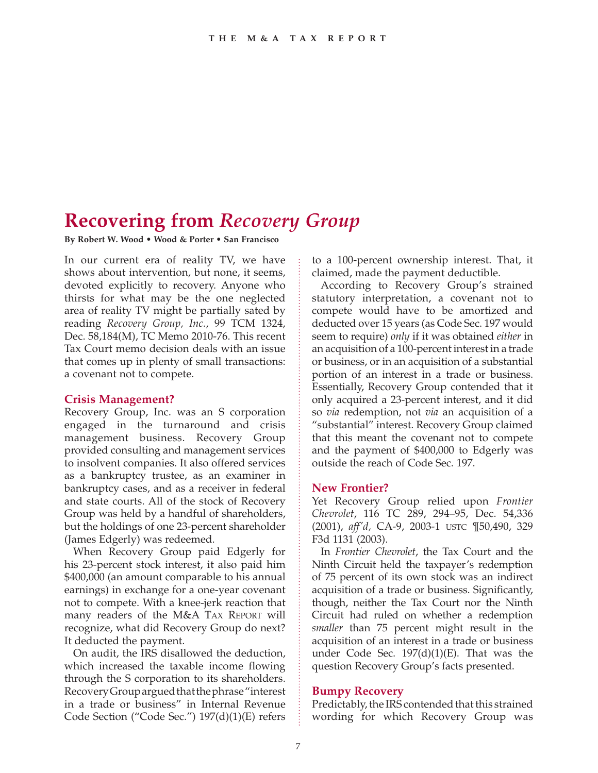# **Recovering from** *Recovery Group*

**By Robert W. Wood • Wood & Porter • San Francisco**

In our current era of reality TV, we have shows about intervention, but none, it seems, devoted explicitly to recovery. Anyone who thirsts for what may be the one neglected area of reality TV might be partially sated by reading *Recovery Group, Inc.*, 99 TCM 1324, Dec. 58,184(M), TC Memo 2010-76. This recent Tax Court memo decision deals with an issue that comes up in plenty of small transactions: a covenant not to compete.

#### **Crisis Management?**

Recovery Group, Inc. was an S corporation engaged in the turnaround and crisis management business. Recovery Group provided consulting and management services to insolvent companies. It also offered services as a bankruptcy trustee, as an examiner in bankruptcy cases, and as a receiver in federal and state courts. All of the stock of Recovery Group was held by a handful of shareholders, but the holdings of one 23-percent shareholder (James Edgerly) was redeemed.

When Recovery Group paid Edgerly for his 23-percent stock interest, it also paid him \$400,000 (an amount comparable to his annual earnings) in exchange for a one-year covenant not to compete. With a knee-jerk reaction that many readers of the M&A TAX REPORT will recognize, what did Recovery Group do next? It deducted the payment.

On audit, the IRS disallowed the deduction, which increased the taxable income flowing through the S corporation to its shareholders. Recovery Group argued that the phrase "interest in a trade or business" in Internal Revenue Code Section ("Code Sec.") 197(d)(1)(E) refers to a 100-percent ownership interest. That, it claimed, made the payment deductible.

According to Recovery Group's strained statutory interpretation, a covenant not to compete would have to be amortized and deducted over 15 years (as Code Sec. 197 would seem to require) *only* if it was obtained *either* in an acquisition of a 100-percent interest in a trade or business, or in an acquisition of a substantial portion of an interest in a trade or business. Essentially, Recovery Group contended that it only acquired a 23-percent interest, and it did so *via* redemption, not *via* an acquisition of a "substantial" interest. Recovery Group claimed that this meant the covenant not to compete and the payment of \$400,000 to Edgerly was outside the reach of Code Sec. 197.

## **New Frontier?**

Yet Recovery Group relied upon *Frontier Chevrolet*, 116 TC 289, 294–95, Dec. 54,336 (2001), *aff'd,* CA-9, 2003-1 USTC ¶50,490, 329 F3d 1131 (2003).

In *Frontier Chevrolet*, the Tax Court and the Ninth Circuit held the taxpayer's redemption of 75 percent of its own stock was an indirect acquisition of a trade or business. Significantly, though, neither the Tax Court nor the Ninth Circuit had ruled on whether a redemption *smaller* than 75 percent might result in the acquisition of an interest in a trade or business under Code Sec. 197(d)(1)(E). That was the question Recovery Group's facts presented.

## **Bumpy Recovery**

Predictably, the IRS contended that this strained wording for which Recovery Group was